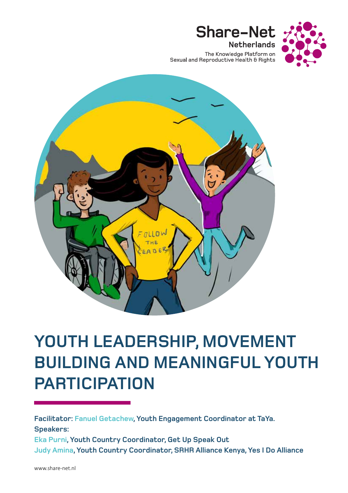

The Knowledge Platform on Sexual and Reproductive Health & Rights

**Share-Net** 

**Netherlands** 



# **YOUTH LEADERSHIP, MOVEMENT BUILDING AND MEANINGFUL YOUTH PARTICIPATION**

**Facilitator: Fanuel Getachew, Youth Engagement Coordinator at TaYa. Speakers: Eka Purni, Youth Country Coordinator, Get Up Speak Out Judy Amina, Youth Country Coordinator, SRHR Alliance Kenya, Yes I Do Alliance**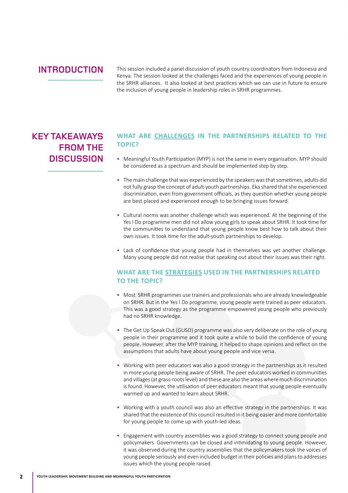### **INTRODUCTION**

This session included a panel discussion of youth country coordinators from Indonesia and Kenya. The session looked at the challenges faced and the experiences of young people in the SRHR alliances. It also looked at best practices which we can use in future to ensure the inclusion of young people in leadership roles in SRHR programmes.

## **KEY TAKEAWAYS FROM THE DISCUSSION**

#### **WHAT ARE CHALLENGES IN THE PARTNERSHIPS RELATED TO THE TOPIC?**

- Meaningful Youth Participation (MYP) is not the same in every organisation. MYP should be considered as a spectrum and should be implemented step by step.
- The main challenge that was experienced by the speakers was that sometimes, adults did not fully grasp the concept of adult-youth partnerships. Eka shared that she experienced discrimination, even from government officials, as they question whether young people are best placed and experienced enough to be bringing issues forward.
- Cultural norms was another challenge which was experienced. At the beginning of the Yes I Do programme men did not allow young girls to speak about SRHR. It took time for the communities to understand that young people know best how to talk about their own issues. It took time for the adult-youth partnerships to develop.
- Lack of confidence that young people had in themselves was yet another challenge. Many young people did not realise that speaking out about their issues was their right.

#### **WHAT ARE THE STRATEGIES USED IN THE PARTNERSHIPS RELATED TO THE TOPIC?**

- Most SRHR programmes use trainers and professionals who are already knowledgeable on SRHR. But in the Yes I Do programme, young people were trained as peer educators. This was a good strategy as the programme empowered young people who previously had no SRHR knowledge.
- The Get Up Speak Out (GUSO) programme was also very deliberate on the role of young people in their programme and it took quite a while to build the confidence of young people. However, after the MYP training, it helped to shape opinions and reflect on the assumptions that adults have about young people and vice versa.
- Working with peer educators was also a good strategy in the partnerships as it resulted in more young people being aware of SRHR. The peer educators worked in communities and villages (at grass-roots level) and these are also the areas where much discrimination is found. However, the utilisation of peer educators meant that young people eventually warmed up and wanted to learn about SRHR.
- Working with a youth council was also an effective strategy in the partnerships. It was shared that the existence of this council resulted in it being easier and more comfortable for young people to come up with youth-led ideas.
- Engagement with country assemblies was a good strategy to connect young people and policymakers. Governments can be closed and intimidating to young people. However, it was observed during the country assemblies that the policymakers took the voices of young people seriously and even included budget in their policies and plans to addresses issues which the young people raised.